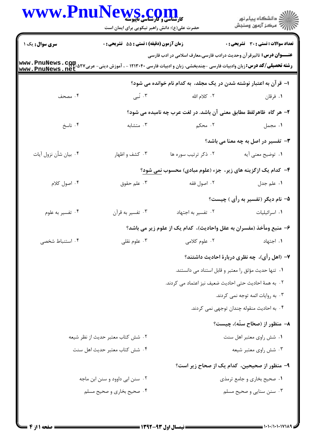|                                                                                                                                                          | WWW.PnuNews.com<br>حضرت علی(ع): دانش راهبر نیکویی برای ایمان است |                                                                              | ر<br>دانشڪاه پيام نور)<br>ا∛ مرڪز آزمون وسنڊش        |
|----------------------------------------------------------------------------------------------------------------------------------------------------------|------------------------------------------------------------------|------------------------------------------------------------------------------|------------------------------------------------------|
| <b>سری سوال :</b> یک ۱                                                                                                                                   | زمان آزمون (دقیقه) : تستی : 55 تشریحی : 0                        |                                                                              | <b>تعداد سوالات : تستي : 30 ٪ تشريحي : 0</b>         |
| <b>رشته تحصیلی/کد درس:</b> زبان وادبیات فارسی -چندبخشی، زبان و ادبیات فارسی ۱۲۱۳۰۴۰ - ، آموزش دینی- عربی۲۷۵، www . PnuNews . cpp.<br>www . PnuNews . net |                                                                  | <b>عنــــوان درس:</b> تاثیرقر آن وحدیث درادب فارسی،معارف اسلامی در ادب فارسی |                                                      |
|                                                                                                                                                          |                                                                  | ا– قرآن به اعتبار نوشته شدن در یک مجلد، به کدام نام خوانده می شود؟           |                                                      |
| ۰۴ مصحف                                                                                                                                                  | ۰۳ نبی                                                           | ٢. كلام الله                                                                 | ۰۱ فرقان                                             |
|                                                                                                                                                          |                                                                  | ۲- هر گاه ظاهرلفظ مطابق معنی آن باشد. در لغت عرب چه نامیده می شود؟           |                                                      |
| ۰۴ ناسخ                                                                                                                                                  | ۰۳ متشابه                                                        | ۲. محکم                                                                      | ۰۱ مجمل                                              |
|                                                                                                                                                          |                                                                  |                                                                              | <b>۳</b> - تفسیر در اصل به چه معنا می باشد؟          |
| ۰۴ بيان شأن نزول آيات                                                                                                                                    | ۰۳ کشف و اظهار                                                   | ۰۲ ذکر ترتیب سوره ها                                                         | ٠١. توضيح معنى آيه                                   |
|                                                                                                                                                          |                                                                  | ۴- کدام یک ازگزینه های زیر، جزء (علوم مبادی) محسوب <u>نمی شود</u> ؟          |                                                      |
| ۰۴ اصول کلام                                                                                                                                             | ۰۳ علم حقوق                                                      | ۰۲ اصول فقه                                                                  | ١. علم جدل                                           |
|                                                                                                                                                          |                                                                  |                                                                              | ۵- نام دیگر (تفسیر به رأی ) چیست؟                    |
| ۰۴ تفسیر به علوم                                                                                                                                         | ۰۳ تفسیر به قرآن                                                 | ٠٢ تفسير به اجتهاد                                                           | ۰۱ اسرائیلیات                                        |
|                                                                                                                                                          |                                                                  | ۶– منبع ومأخذ (مفسران به عقل واحاديث)، كدام يک از علوم زير مي باشد؟          |                                                      |
| ۰۴ استنباط شخصی                                                                                                                                          | با علوم نقلی $\cdot$ ۳ $\cdot$                                   |                                                                              | <b>۱</b> . اجتهاد مسلمان استفاد معروم کلامی          |
|                                                                                                                                                          |                                                                  |                                                                              | ۷– (اهل رأی)، چه نظری دربارهٔ احادیث داشتند؟         |
|                                                                                                                                                          |                                                                  |                                                                              | ٠١ تنها حديث مؤثق را معتبر و قابل استناد مي دانستند. |
|                                                                                                                                                          |                                                                  | ٠٢ به همهٔ احادیث حتی احادیث ضعیف نیز اعتماد می کردند.                       |                                                      |
|                                                                                                                                                          |                                                                  |                                                                              | ۰۳ به روایات ائمه توجه نمی کردند.                    |
|                                                                                                                                                          |                                                                  |                                                                              | ۰۴ به احادیث منقوله چندان توجهی نمی کردند.           |
|                                                                                                                                                          |                                                                  |                                                                              | ۸– منظور از (صحّاح ستّه)، چیست؟                      |
| ۰۲ شش کتاب معتبر حدیث از نظر شیعه                                                                                                                        |                                                                  |                                                                              | ۰۱ شش راوي معتبر اهل سنت                             |
|                                                                                                                                                          | ۰۴ شش كتاب معتبر حديث اهل سنت                                    |                                                                              | ۰۳ شش راوي معتبر شيعه                                |
|                                                                                                                                                          |                                                                  |                                                                              | ۹– منظور از صحیحین، کدام یک از صحاح زیر است؟         |
|                                                                                                                                                          | ۰۲ سنن ابی داوود و سنن ابن ماجه                                  |                                                                              | ۰۱ صحیح بخاری و جامع ترمذی                           |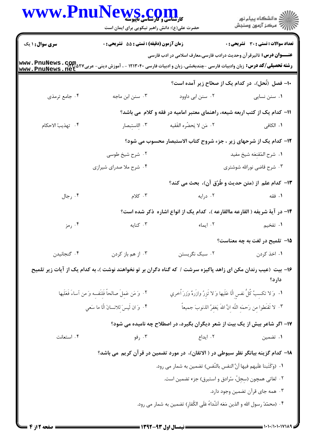| WWW.PnuNews.com                                                                                                                                       | حضرت علی(ع): دانش راهبر نیکویی برای ایمان است           |                                                                                                               | ڪ دانشڪاه پيا <sub>م</sub> نور<br>۾ مرڪز آزمون وسنجش            |
|-------------------------------------------------------------------------------------------------------------------------------------------------------|---------------------------------------------------------|---------------------------------------------------------------------------------------------------------------|-----------------------------------------------------------------|
| <b>سری سوال : ۱ یک</b>                                                                                                                                | <b>زمان آزمون (دقیقه) : تستی : 55 تشریحی : 0</b>        |                                                                                                               | <b>تعداد سوالات : تستی : 30 ٪ تشریحی : 0</b>                    |
| <b>رشته تحصیلی/کد درس:</b> زبان وادبیات فارسی -چندبخشی، زبان و ادبیات فارسی ۱۲۱۳۰۴۰ - ، آموزش دینی- عربی۲۷ Mww . PnuNews . Qpm<br>www . PnuNews . net |                                                         | <b>عنــــوان درس:</b> تأثیرقر آن وحدیث درادب فارسی،معارف اسلامی در ادب فارسی                                  |                                                                 |
|                                                                                                                                                       |                                                         |                                                                                                               | ۱۰– فصل (نُحل)، در کدام یک از صحّاح زیر آمده است؟               |
| ۰۴ جامع ترمذي                                                                                                                                         | ۰۳ سنن ابن ماجه                                         | ۰۲ سنن ابي داوود                                                                                              | ۰۱ سنن نسایی                                                    |
|                                                                                                                                                       |                                                         | 11– کدام یک از کتب اربعه شیعه، راهنمای معتبر امامیه در فقه و کلام می باشد؟                                    |                                                                 |
| ۴. تهذيبُ الاحكام                                                                                                                                     | ۰۳ الاستبصار                                            | ٢. مَن لا يَحضُره الفَقيه                                                                                     | <b>۱</b> . الكافي                                               |
|                                                                                                                                                       |                                                         | ۱۲- کدام یک از شرحهای زیر ، جزء شروح کتاب الاستبصار محسوب می شود؟                                             |                                                                 |
|                                                                                                                                                       | ۰۲ شرح شیخ طوسی                                         |                                                                                                               | ٠١ شرح المُقنِعَه شيخ مفيد                                      |
|                                                                                                                                                       | ۰۴ شرح ملا صدرای شیرازی                                 |                                                                                                               | ۰۳ شرح قاضی نورالله شوشتری                                      |
|                                                                                                                                                       |                                                         | ۱۳– کدام علم از (متن حدیث و طُرُق آن)، بحث می کند؟                                                            |                                                                 |
| ۰۴ رجال                                                                                                                                               | ۰۳ کلام                                                 | ۰۲ درایه                                                                                                      | ۰۱ فقه                                                          |
|                                                                                                                                                       |                                                         | ۱۴– در آیهٔ شریفه ( القارعه ماالقارعه )، کدام یک از انواع اشاره ذکر شده است؟                                  |                                                                 |
| ۰۴ رمز                                                                                                                                                | ۰۳ کنایه                                                | ۰۲ ایماء                                                                                                      | ۰۱ تفخیم                                                        |
|                                                                                                                                                       |                                                         |                                                                                                               | 1۵– تلمیح در لغت به چه معناست؟                                  |
| ۰۴ گنجانیدن                                                                                                                                           | ۰۳ از هم باز کردن                                       | ۰۲ سبک نگریستن                                                                                                | ١. اخذ كردن                                                     |
|                                                                                                                                                       |                                                         | ۱۶– بیت (عیب رندان مکن ای زاهد پاکیزه سرشت / که گناه دگران بر تو نخواهند نوشت )، به کدام یک از آیات زیر تلمیح | دارد؟                                                           |
|                                                                                                                                                       | ٢. وَ مَن عَمِلَ صالحاً فَلِنَفسه وَ من آساءَ فَعَلَيها | ١. ۚ وَ لا تكسبُ كُلُّ نفس الَّا عَلَيها وَ لا تَزِرُ وازَرهٌ وَزِرَ ٱخري                                     |                                                                 |
|                                                                                                                                                       | ۴. وَ ان لَيسَ للانسانَ الَّا ما سَعي                   |                                                                                                               | ٣. لا تَقنَطوا من رَحمَه اللّه انَّ اللهَ يَغفرُ الذنوبَ جميعاً |
|                                                                                                                                                       |                                                         | ۱۷– اگر شاعر بیش از یک بیت از شعر دیگران بگیرد، در اصطلاح چه نامیده می شود؟                                   |                                                                 |
| ۰۴ استعانت                                                                                                                                            | ۰۳ رفو                                                  | ۰۲ ایداع                                                                                                      | ۰۱ تضمین                                                        |
|                                                                                                                                                       |                                                         | ۱۸– کدام گزینه بیانگر نظر سیوطی در ( الاتقان)، در مورد تضمین در قرآن کریم می باشد؟                            |                                                                 |
|                                                                                                                                                       |                                                         | ٠١ (وَكَتَبِنا عَلَيهم فيها أنَّ النفس بالنّفس) تضمين به شمار مي رود.                                         |                                                                 |
|                                                                                                                                                       |                                                         | ۰۲ لغاتی همچون (سِجِلّ، سُرادق و استبرق) جزء تضمین است.                                                       |                                                                 |
|                                                                                                                                                       |                                                         |                                                                                                               | ۰۳ همه جای قرآن تضمین وجود دارد.                                |
|                                                                                                                                                       |                                                         | ۰۴ (محمّدً رسول الله و الذين مَعَه أَشّداءُ عَلَى الكُفارِ) تضمين به شمار مى رود.                             |                                                                 |
|                                                                                                                                                       |                                                         |                                                                                                               |                                                                 |

 $= 1.1 - (1.1 - 11)$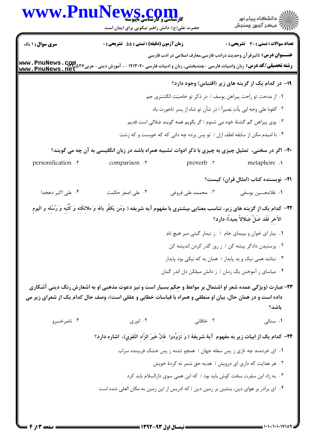| <b>WWW.Pnu</b> l                                                                                                                              | <b>MS . COMM</b><br>کارشناسی و کارشناسی ناپیوسته<br>حضرت علی(ع): دانش راهبر نیکویی برای ایمان است                                     |                                                                            | ڪ دانشڪاه پيا <sub>م</sub> نور<br>ا∛ مرڪز آزمون وسنجش                       |
|-----------------------------------------------------------------------------------------------------------------------------------------------|---------------------------------------------------------------------------------------------------------------------------------------|----------------------------------------------------------------------------|-----------------------------------------------------------------------------|
| <b>سری سوال : ۱ یک</b>                                                                                                                        | زمان آزمون (دقیقه) : تستی : 55 آتشریحی : 0                                                                                            |                                                                            | تعداد سوالات : تستي : 30 ٪ تشريحي : 0                                       |
| <b>رشته تحصیلی/کد درس:</b> زبان وادبیات فارسی -چندبخشی، زبان و ادبیات فارسی ۱۲۱۳۰۴۰ - ، آموزش دینی- عربی۲۷ GruNews . G<br>www . PnuNews . net |                                                                                                                                       |                                                                            | <b>عنـــوان درس:</b> تاثیرقر آن وحدیث درادب فارسی،معارف اسلامی در ادب فارسی |
|                                                                                                                                               |                                                                                                                                       |                                                                            | ۱۹- در کدام یک از گزینه های زیر (اقتباس) وجود دارد؟                         |
|                                                                                                                                               |                                                                                                                                       | ۰۱ از مدحت تو راحت پیراهن یوسف / در ذکر تو خاصیّت انگشتری جم               |                                                                             |
|                                                                                                                                               |                                                                                                                                       | ٢. ألقوهُ على وَجه ابي يأتِ بَصيراً / در شأن تو شاه از پسر تاجورت باد      |                                                                             |
|                                                                                                                                               |                                                                                                                                       | ۰۳ بوی پیراهن گم گشتهٔ خود می شنوم / گر بگویم همه گویند ضلالی است قدیم     |                                                                             |
|                                                                                                                                               |                                                                                                                                       | ۰۴ نا امیدم مکن از سابقه لطف ازل / تو پس پرده چه دانی که که خوبست و که زشت |                                                                             |
|                                                                                                                                               | ۲۰– اگر در سخنی، تمثیل چیزی به چیزی با ذکر ادوات تشبیه همراه باشد در زبان انگلیسی به آن چه می گویند؟                                  |                                                                            |                                                                             |
| personification . <sup>*</sup>                                                                                                                | comparison .                                                                                                                          | proverb .r                                                                 | metaphore .                                                                 |
|                                                                                                                                               |                                                                                                                                       |                                                                            | <b>ا۲</b> – نویسنده کتاب (امثال قران) کیست؟                                 |
| ۰۴ علی اکبر دهخدا                                                                                                                             | ۰۳ علی اصغر حکمت                                                                                                                      | ۰۲ محممد علی فروغی                                                         | ٠١. غلامحسين يوسفي                                                          |
|                                                                                                                                               | ۴۲– کدام یک از گزینه های زیر، تناسب معنایی بیشتری با مفهوم آیه شریفه ( وَمَن یَکفُر بالله وَ ملائکَتِه وَ کُتُبِه وَ رُسُلِه و الیومِ |                                                                            | الآخر فَقَد ضَلَّ ضَلالاً بعيداً) دارد؟                                     |
|                                                                                                                                               |                                                                                                                                       | ۰۱ بیار ای خوان و بپیمای جام / ز تیمار گیتی مبر هیچ نام                    |                                                                             |
|                                                                                                                                               |                                                                                                                                       | ۰۲ پرستیدن دادگر پیشه کن / ز روز گذر کردن اندیشه کن                        |                                                                             |
|                                                                                                                                               |                                                                                                                                       | ۰۳ نباشد همی نیک و بد پایدار / همان به که نیکی بود پایدار                  |                                                                             |
|                                                                                                                                               |                                                                                                                                       | ۰۴ میاسای ز آموختن یک زمان / ز دانش میفکن دل اندر گمان                     |                                                                             |
| داده است و در همان حال، بیان او منطقی و همراه با قیاسات خطابی و عقلی است)، وصف حال کدام یک از شعرای زیر می                                    | ۲۳- عبارت (ویژگی عمده شعر او اشتمال بر مواعظ و حِکم بسیار است و نیز دعوت مذهبی او به اشعارش رنگ دینی آشکاری                           |                                                                            | باشد؟                                                                       |
| ۰۴ ناصرخسرو                                                                                                                                   | ۰۳ انوري                                                                                                                              | ۰۲ خاقانی                                                                  | ۰۱ سنائی                                                                    |
|                                                                                                                                               | ٢۴– كدام يک از ابيات زير به مفهوم آيهٔ شريفهٔ ( وَ تَزَوِّدُوا ۖ فَانَّ خَيرَ الزَّادِ التَّقوَي)، اشاره دارد؟                        |                                                                            |                                                                             |
|                                                                                                                                               |                                                                                                                                       | ۰۱ ای خردمند چه تازی ز پس سفله جهان / همچو تشنه ز پس خشک فریبنده سراب      |                                                                             |
|                                                                                                                                               |                                                                                                                                       | ۰۲ هر هدایت که داری ای درویش / هدیه حق شمر نه کردهٔ خویش                   |                                                                             |
|                                                                                                                                               |                                                                                                                                       | ۰۳ به زاد این سفرت سخت کوش باید بود / که این همی سوی دارالسلام باید کرد    |                                                                             |
|                                                                                                                                               | ۰۴ ای برادر بر هوای دین، بنشین بر زمین دین / که ادریس از این زمین به مکان العلی شده است                                               |                                                                            |                                                                             |
|                                                                                                                                               |                                                                                                                                       |                                                                            |                                                                             |

 $\blacksquare$